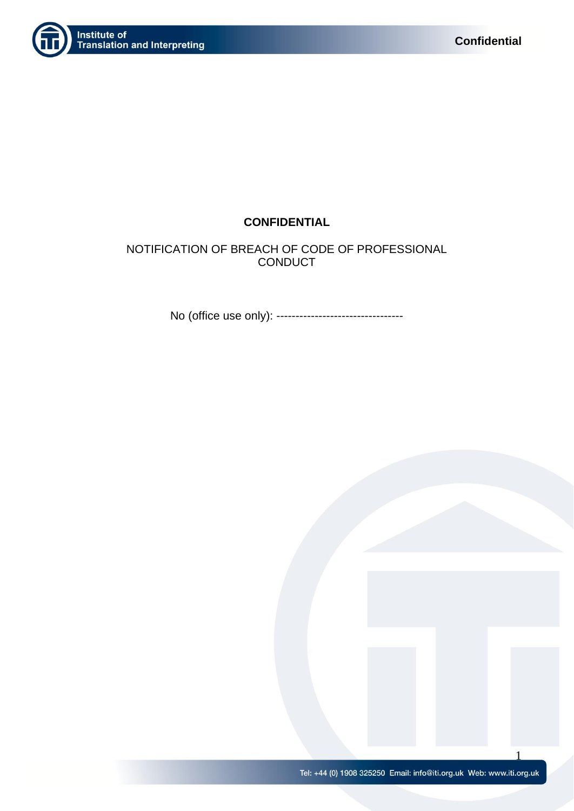

# **CONFIDENTIAL**

NOTIFICATION OF BREACH OF CODE OF PROFESSIONAL **CONDUCT** 

No (office use only): ---------------------------------

1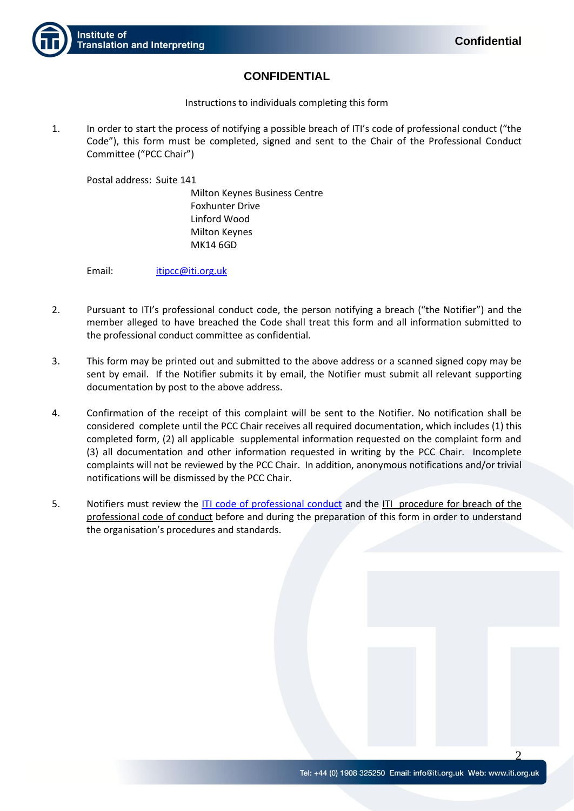

# **CONFIDENTIAL**

Instructions to individuals completing this form

1. In order to start the process of notifying a possible breach of ITI's code of professional conduct ("the Code"), this form must be completed, signed and sent to the Chair of the Professional Conduct Committee ("PCC Chair")

Postal address: Suite 141

Milton Keynes Business Centre Foxhunter Drive Linford Wood Milton Keynes MK14 6GD

Email: [itipcc@iti.org.uk](mailto:itipcc@iti.org.uk) 

- 2. Pursuant to ITI's professional conduct code, the person notifying a breach ("the Notifier") and the member alleged to have breached the Code shall treat this form and all information submitted to the professional conduct committee as confidential.
- 3. This form may be printed out and submitted to the above address or a scanned signed copy may be sent by email. If the Notifier submits it by email, the Notifier must submit all relevant supporting documentation by post to the above address.
- 4. Confirmation of the receipt of this complaint will be sent to the Notifier. No notification shall be considered complete until the PCC Chair receives all required documentation, which includes (1) this completed form, (2) all applicable supplemental information requested on the complaint form and (3) all documentation and other information requested in writing by the PCC Chair. Incomplete complaints will not be reviewed by the PCC Chair. In addition, anonymous notifications and/or trivial notifications will be dismissed by the PCC Chair.
- 5. Notifiers must review the ITI [code of professional conduct](https://www.iti.org.uk/attachments/article/154/Code%20of%20Professional%20Conduct%2029%2010%202016.pdf) and the ITI procedure for breach of the professional code of conduct before and during the preparation of this form in order to understand the organisation's procedures and standards.

 $\Omega$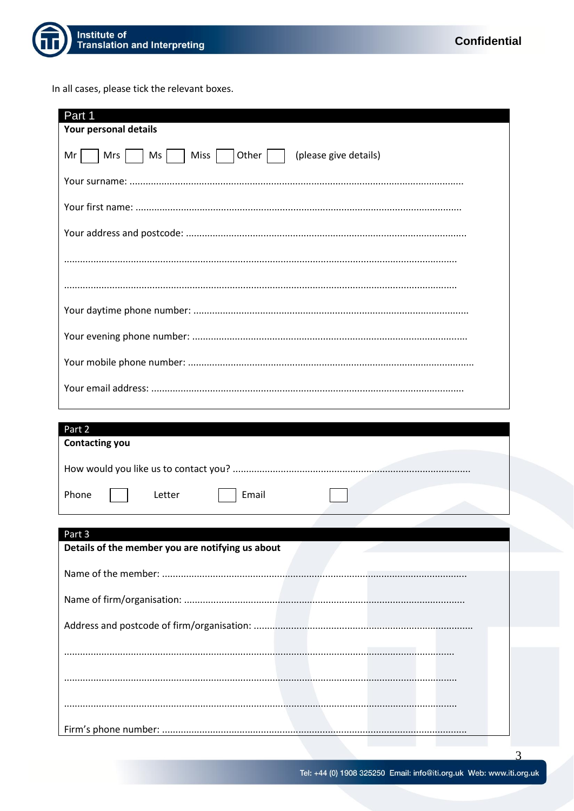

In all cases, please tick the relevant boxes.

| Part 1                                                         |  |  |
|----------------------------------------------------------------|--|--|
| Your personal details                                          |  |  |
| Ms     Miss     Other     (please give details)<br>Mrs  <br>Mr |  |  |
|                                                                |  |  |
|                                                                |  |  |
|                                                                |  |  |
|                                                                |  |  |
|                                                                |  |  |
|                                                                |  |  |
|                                                                |  |  |
|                                                                |  |  |
|                                                                |  |  |
|                                                                |  |  |
| Part 2                                                         |  |  |
| <b>Contacting you</b>                                          |  |  |
|                                                                |  |  |
| Phone<br>Email<br>Letter                                       |  |  |
|                                                                |  |  |
| Part 3<br>Details of the member you are notifying us about     |  |  |
|                                                                |  |  |
|                                                                |  |  |
|                                                                |  |  |
|                                                                |  |  |
|                                                                |  |  |
|                                                                |  |  |
|                                                                |  |  |
|                                                                |  |  |

 $\mathcal{R}$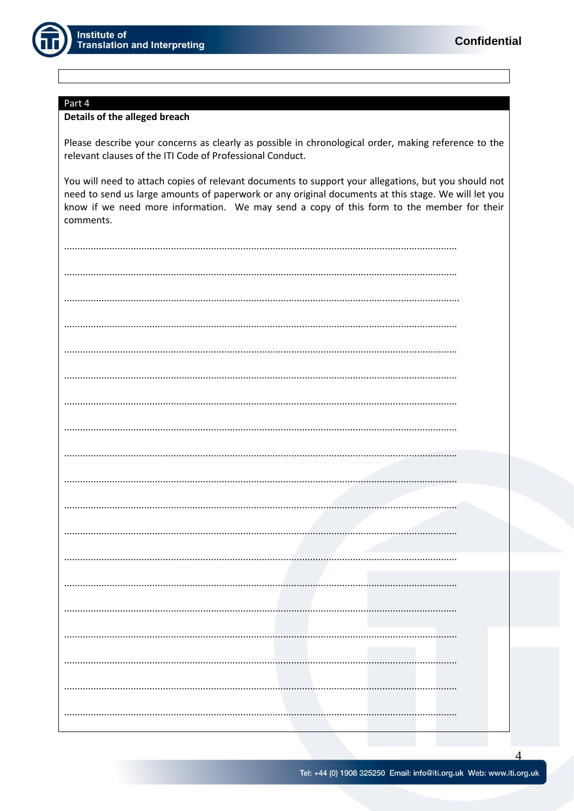

## Part 4

### Details of the alleged breach

Please describe your concerns as clearly as possible in chronological order, making reference to the relevant clauses of the ITI Code of Professional Conduct.

You will need to attach copies of relevant documents to support your allegations, but you should not need to send us large amounts of paperwork or any original documents at this stage. We will let you know if we need more information. We may send a copy of this form to the member for their comments.

| $\cdots$ |
|----------|
|          |
|          |
| .        |
|          |
|          |
|          |
| .        |
|          |
|          |
|          |
|          |
|          |
|          |
|          |
|          |
|          |
|          |

 $\overline{4}$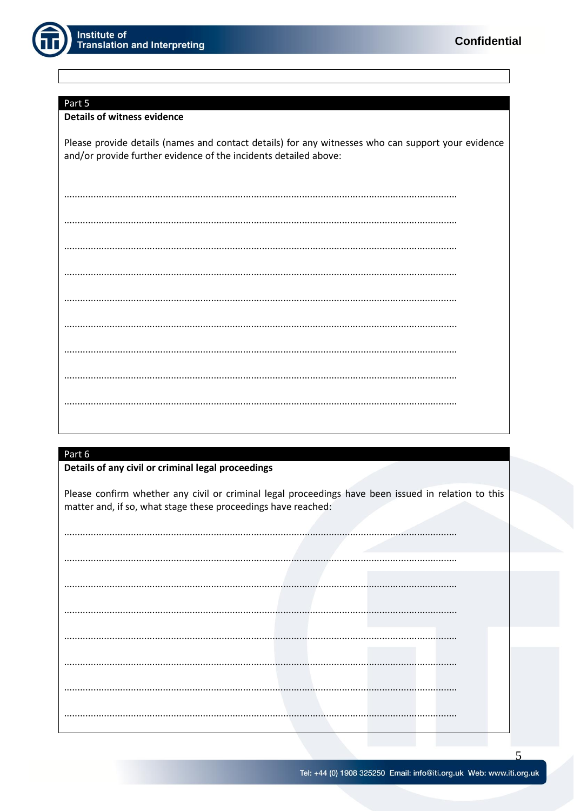

#### Part 5

### **Details of witness evidence**

Please provide details (names and contact details) for any witnesses who can support your evidence and/or provide further evidence of the incidents detailed above:

## Part 6

## Details of any civil or criminal legal proceedings

Please confirm whether any civil or criminal legal proceedings have been issued in relation to this matter and, if so, what stage these proceedings have reached:

 $\overline{\mathcal{L}}$